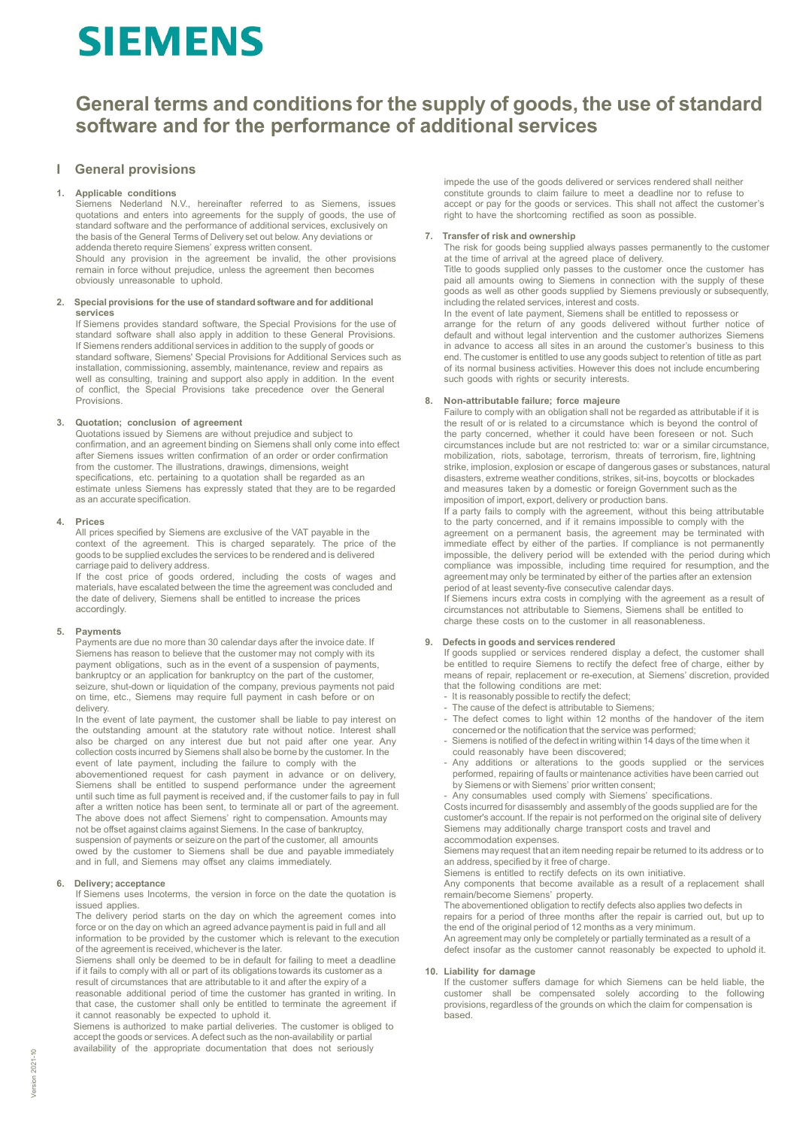# **SIEMENS**

## **General terms and conditions for the supply of goods, the use of standard software and for the performance of additional services**

### **I General provisions**

### **1. Applicable conditions**

Siemens Nederland N.V., hereinafter referred to as Siemens, issues quotations and enters into agreements for the supply of goods, the use of standard software and the performance of additional services, exclusively on the basis of the General Terms of Delivery set out below. Any deviations or addenda thereto require Siemens' express written consent. Should any provision in the agreement be invalid, the other provisions remain in force without prejudice, unless the agreement then becomes obviously unreasonable to uphold.

### **2. Special provisions for the use of standard software and for additional services**

If Siemens provides standard software, the Special Provisions for the use of standard software shall also apply in addition to these General Provisions. If Siemens renders additional services in addition to the supply of goods or standard software, Siemens' Special Provisions for Additional Services such as installation, commissioning, assembly, maintenance, review and repairs as well as consulting, training and support also apply in addition. In the event of conflict, the Special Provisions take precedence over the General Provisions.

### **3. Quotation; conclusion of agreement**

Quotations issued by Siemens are without prejudice and subject to confirmation, and an agreement binding on Siemens shall only come into effect after Siemens issues written confirmation of an order or order confirmation from the customer. The illustrations, drawings, dimensions, weight specifications, etc. pertaining to a quotation shall be regarded as an estimate unless Siemens has expressly stated that they are to be regarded as an accurate specification.

### **4. Prices**

All prices specified by Siemens are exclusive of the VAT payable in the context of the agreement. This is charged separately. The price of the goods to be supplied excludes the services to be rendered and is delivered carriage paid to delivery address.

If the cost price of goods ordered, including the costs of wages and materials, have escalated between the time the agreement was concluded and the date of delivery, Siemens shall be entitled to increase the prices accordingly.

### **5. Payments**

Payments are due no more than 30 calendar days after the invoice date. If Siemens has reason to believe that the customer may not comply with its payment obligations, such as in the event of a suspension of payments, bankruptcy or an application for bankruptcy on the part of the customer, seizure, shut-down or liquidation of the company, previous payments not paid on time, etc., Siemens may require full payment in cash before or on delivery.

In the event of late payment, the customer shall be liable to pay interest on the outstanding amount at the statutory rate without notice. Interest shall also be charged on any interest due but not paid after one year. Any collection costs incurred by Siemens shall also be borne by the customer. In the event of late payment, including the failure to comply with the abovementioned request for cash payment in advance or on delivery, Siemens shall be entitled to suspend performance under the agreement until such time as full payment is received and, if the customer fails to pay in full after a written notice has been sent, to terminate all or part of the agreement. The above does not affect Siemens' right to compensation. Amounts may not be offset against claims against Siemens. In the case of bankruptcy, suspension of payments or seizure on the part of the customer, all amounts owed by the customer to Siemens shall be due and payable immediately and in full, and Siemens may offset any claims immediately.

### **6. Delivery; acceptance**

If Siemens uses Incoterms, the version in force on the date the quotation is issued applies.

The delivery period starts on the day on which the agreement comes into force or on the day on which an agreed advance payment is paid in full and all information to be provided by the customer which is relevant to the execution of the agreement is received, whichever is the later.

Siemens shall only be deemed to be in default for failing to meet a deadline if it fails to comply with all or part of its obligations towards its customer as a result of circumstances that are attributable to it and after the expiry of a reasonable additional period of time the customer has granted in writing. In that case, the customer shall only be entitled to terminate the agreement if it cannot reasonably be expected to uphold it.

Siemens is authorized to make partial deliveries. The customer is obliged to accept the goods or services. A defect such as the non-availability or partial availability of the appropriate documentation that does not seriously

impede the use of the goods delivered or services rendered shall neither constitute grounds to claim failure to meet a deadline nor to refuse to accept or pay for the goods or services. This shall not affect the customer's right to have the shortcoming rectified as soon as possible.

### **7. Transfer of risk and ownership**

The risk for goods being supplied always passes permanently to the customer at the time of arrival at the agreed place of delivery. Title to goods supplied only passes to the customer once the customer has paid all amounts owing to Siemens in connection with the supply of these goods as well as other goods supplied by Siemens previously or subsequently, including the related services, interest and costs.

In the event of late payment, Siemens shall be entitled to repossess or arrange for the return of any goods delivered without further notice of default and without legal intervention and the customer authorizes Siemens in advance to access all sites in an around the customer's business to this end. The customer is entitled to use any goods subject to retention of title as part of its normal business activities. However this does not include encumbering such goods with rights or security interests.

### **8. Non-attributable failure; force majeure**

Failure to comply with an obligation shall not be regarded as attributable if it is the result of or is related to a circumstance which is beyond the control of the party concerned, whether it could have been foreseen or not. Such circumstances include but are not restricted to: war or a similar circumstance, mobilization, riots, sabotage, terrorism, threats of terrorism, fire, lightning strike, implosion, explosion or escape of dangerous gases or substances, natural disasters, extreme weather conditions, strikes, sit-ins, boycotts or blockades and measures taken by a domestic or foreign Government such as the imposition of import, export, delivery or production bans.

If a party fails to comply with the agreement, without this being attributable to the party concerned, and if it remains impossible to comply with the agreement on a permanent basis, the agreement may be terminated with immediate effect by either of the parties. If compliance is not permanently impossible, the delivery period will be extended with the period during which compliance was impossible, including time required for resumption, and the agreement may only be terminated by either of the parties after an extension period of at least seventy-five consecutive calendar days.

If Siemens incurs extra costs in complying with the agreement as a result of circumstances not attributable to Siemens, Siemens shall be entitled to charge these costs on to the customer in all reasonableness.

### **9. Defects in goods and services rendered**

If goods supplied or services rendered display a defect, the customer shall be entitled to require Siemens to rectify the defect free of charge, either by means of repair, replacement or re-execution, at Siemens' discretion, provided that the following conditions are met:

- It is reasonably possible to rectify the defect;
- The cause of the defect is attributable to Siemens;
- The defect comes to light within 12 months of the handover of the item concerned or the notification that the service was performed;
- Siemens is notified of the defect in writing within 14 days of the time when it could reasonably have been discovered;
- Any additions or alterations to the goods supplied or the services performed, repairing of faults or maintenance activities have been carried out by Siemens or with Siemens' prior written consent;
- Any consumables used comply with Siemens' specifications.

Costs incurred for disassembly and assembly of the goods supplied are for the customer's account. If the repair is not performed on the original site of delivery Siemens may additionally charge transport costs and travel and accommodation expenses.

Siemens may request that an item needing repair be returned to its address or to an address, specified by it free of charge.

Siemens is entitled to rectify defects on its own initiative.

Any components that become available as a result of a replacement shall remain/become Siemens' property.

The abovementioned obligation to rectify defects also applies two defects in repairs for a period of three months after the repair is carried out, but up to

the end of the original period of 12 months as a very minimum. An agreement may only be completely or partially terminated as a result of a

defect insofar as the customer cannot reasonably be expected to uphold it.

### **10. Liability for damage**

If the customer suffers damage for which Siemens can be held liable, the customer shall be compensated solely according to the following provisions, regardless of the grounds on which the claim for compensation is based.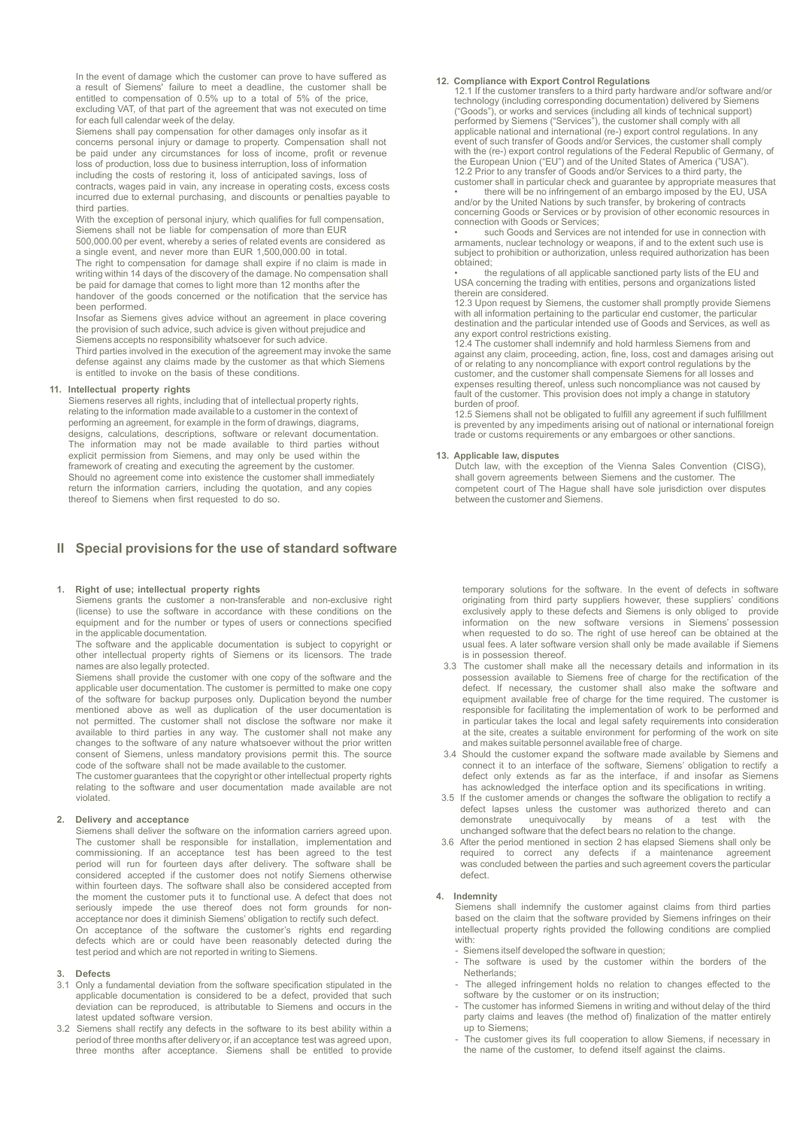In the event of damage which the customer can prove to have suffered as a result of Siemens' failure to meet a deadline, the customer shall be entitled to compensation of 0.5% up to a total of 5% of the price, excluding VAT, of that part of the agreement that was not executed on time for each full calendar week of the delay.

Siemens shall pay compensation for other damages only insofar as it concerns personal injury or damage to property. Compensation shall not be paid under any circumstances for loss of income, profit or revenue loss of production, loss due to business interruption, loss of information

including the costs of restoring it, loss of anticipated savings, loss of contracts, wages paid in vain, any increase in operating costs, excess costs incurred due to external purchasing, and discounts or penalties payable to third parties.

With the exception of personal injury, which qualifies for full compensation, Siemens shall not be liable for compensation of more than EUR 500,000.00 per event, whereby a series of related events are considered as

a single event, and never more than EUR 1,500,000.00 in total.

The right to compensation for damage shall expire if no claim is made in writing within 14 days of the discovery of the damage. No compensation shall be paid for damage that comes to light more than 12 months after the handover of the goods concerned or the notification that the service has

been performed. Insofar as Siemens gives advice without an agreement in place covering the provision of such advice, such advice is given without prejudice and

Siemens accepts no responsibility whatsoever for such advice.

Third parties involved in the execution of the agreement may invoke the same defense against any claims made by the customer as that which Siemens is entitled to invoke on the basis of these conditions.

### **11. Intellectual property rights**

Siemens reserves all rights, including that of intellectual property rights, relating to the information made available to a customer in the context of performing an agreement, for example in the form of drawings, diagrams, designs, calculations, descriptions, software or relevant documentation. The information may not be made available to third parties without explicit permission from Siemens, and may only be used within the framework of creating and executing the agreement by the customer. Should no agreement come into existence the customer shall immediately return the information carriers, including the quotation, and any copies thereof to Siemens when first requested to do so.

### **II Special provisions for the use of standard software**

### **1. Right of use; intellectual property rights**

Siemens grants the customer a non-transferable and non-exclusive right (license) to use the software in accordance with these conditions on the equipment and for the number or types of users or connections specified in the applicable documentation.

The software and the applicable documentation is subject to copyright or other intellectual property rights of Siemens or its licensors. The trade names are also legally protected.

Siemens shall provide the customer with one copy of the software and the applicable user documentation. The customer is permitted to make one copy of the software for backup purposes only. Duplication beyond the number mentioned above as well as duplication of the user documentation is not permitted. The customer shall not disclose the software nor make it available to third parties in any way. The customer shall not make any changes to the software of any nature whatsoever without the prior written consent of Siemens, unless mandatory provisions permit this. The source code of the software shall not be made available to the customer.

The customer guarantees that the copyright or other intellectual property rights relating to the software and user documentation made available are not violated.

### **2. Delivery and acceptance**

Siemens shall deliver the software on the information carriers agreed upon. The customer shall be responsible for installation, implementation and commissioning. If an acceptance test has been agreed to the test period will run for fourteen days after delivery. The software shall be considered accepted if the customer does not notify Siemens otherwise within fourteen days. The software shall also be considered accepted from the moment the customer puts it to functional use. A defect that does not seriously impede the use thereof does not form grounds for nonacceptance nor does it diminish Siemens' obligation to rectify such defect.

On acceptance of the software the customer's rights end regarding defects which are or could have been reasonably detected during the test period and which are not reported in writing to Siemens.

### **3. Defects**

- 3.1 Only a fundamental deviation from the software specification stipulated in the applicable documentation is considered to be a defect, provided that such deviation can be reproduced, is attributable to Siemens and occurs in the latest updated software version.
- 3.2 Siemens shall rectify any defects in the software to its best ability within a period of three months after delivery or, if an acceptance test was agreed upon, three months after acceptance. Siemens shall be entitled to provide

**12. Compliance with Export Control Regulations** 12.1 If the customer transfers to a third party hardware and/or software and/or technology (including corresponding documentation) delivered by Siemens ("Goods"), or works and services (including all kinds of technical support)<br>performed by Siemens ("Services"), the customer shall comply with all<br>applicable national and international (re-) export control regulations. In a event of such transfer of Goods and/or Services, the customer shall comply<br>with the (re-) export control regulations of the Federal Republic of Germany, of<br>the European Union ("EU") and of the United States of America ("US

12.2 Prior to any transfer of Goods and/or Services to a third party, the customer shall in particular check and guarantee by appropriate measures that<br>•• there will be no infringement of an embargo imposed by the EU, USA<br> concerning Goods or Services or by provision of other economic resources in connection with Goods or Services;

such Goods and Services are not intended for use in connection with armaments, nuclear technology or weapons, if and to the extent such use is subject to prohibition or authorization, unless required authorization has been obtained;

• the regulations of all applicable sanctioned party lists of the EU and USA concerning the trading with entities, persons and organizations listed therein are considered.

12.3 Upon request by Siemens, the customer shall promptly provide Siemens<br>with all information pertaining to the particular end customer, the particular<br>destination and the particular intended use of Goods and Services, as any export control restrictions existing.

12.4 The customer shall indemnify and hold harmless Siemens from and<br>against any claim, proceeding, action, fine, loss, cost and damages arising out<br>of or relating to any noncompliance with export control regulations by th customer, and the customer shall compensate Siemens for all losses and expenses resulting thereof, unless such noncompliance was not caused by fault of the customer. This provision does not imply a change in statutory burden of proof.

12.5 Siemens shall not be obligated to fulfill any agreement if such fulfillment is prevented by any impediments arising out of national or international foreign trade or customs requirements or any embargoes or other sanctions.

### **13. Applicable law, disputes**

Dutch law, with the exception of the Vienna Sales Convention (CISG), shall govern agreements between Siemens and the customer. The competent court of The Hague shall have sole jurisdiction over disputes between the customer and Siemens.

temporary solutions for the software. In the event of defects in software originating from third party suppliers however, these suppliers' conditions exclusively apply to these defects and Siemens is only obliged to provide information on the new software versions in Siemens' possession when requested to do so. The right of use hereof can be obtained at the usual fees. A later software version shall only be made available if Siemens is in possession thereof.

- 3.3 The customer shall make all the necessary details and information in its possession available to Siemens free of charge for the rectification of the defect. If necessary, the customer shall also make the software and equipment available free of charge for the time required. The customer is responsible for facilitating the implementation of work to be performed and in particular takes the local and legal safety requirements into consideration at the site, creates a suitable environment for performing of the work on site and makes suitable personnel available free of charge.
- 3.4 Should the customer expand the software made available by Siemens and connect it to an interface of the software, Siemens' obligation to rectify a defect only extends as far as the interface, if and insofar as Siemens has acknowledged the interface option and its specifications in writing.
- 3.5 If the customer amends or changes the software the obligation to rectify a defect lapses unless the customer was authorized thereto and can<br>demonstrate unequivocally by means of a test with the by means of a test with the unchanged software that the defect bears no relation to the change.
- 3.6 After the period mentioned in section 2 has elapsed Siemens shall only be required to correct any defects if a maintenance agreement was concluded between the parties and such agreement covers the particular defect.

**4. Indemnity** Siemens shall indemnify the customer against claims from third parties based on the claim that the software provided by Siemens infringes on their intellectual property rights provided the following conditions are complied with:

- Siemens itself developed the software in question;
- The software is used by the customer within the borders of the Netherlands;
- The alleged infringement holds no relation to changes effected to the software by the customer or on its instruction;
- The customer has informed Siemens in writing and without delay of the third party claims and leaves (the method of) finalization of the matter entirely up to Siemens;
- The customer gives its full cooperation to allow Siemens, if necessary in the name of the customer, to defend itself against the claims.